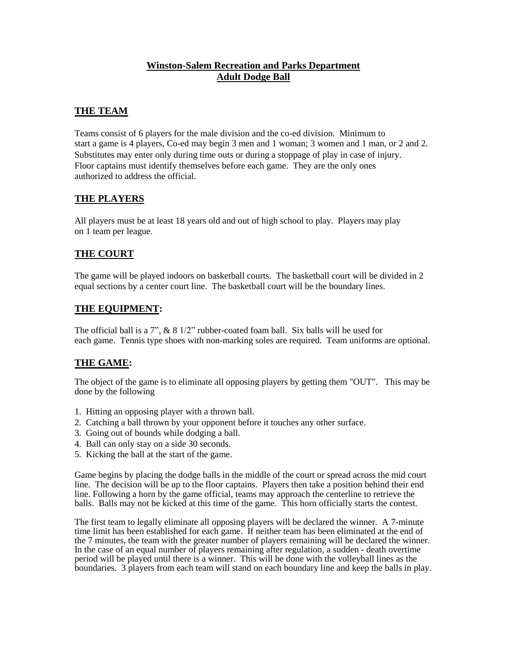## **Winston-Salem Recreation and Parks Department Adult Dodge Ball**

## **THE TEAM**

Teams consist of 6 players for the male division and the co-ed division. Minimum to start a game is 4 players, Co-ed may begin 3 men and 1 woman; 3 women and 1 man, or 2 and 2. Substitutes may enter only during time outs or during a stoppage of play in case of injury. Floor captains must identify themselves before each game. They are the only ones authorized to address the official.

## **THE PLAYERS**

All players must be at least 18 years old and out of high school to play. Players may play on 1 team per league.

## **THE COURT**

The game will be played indoors on basketball courts. The basketball court will be divided in 2 equal sections by a center court line. The basketball court will be the boundary lines.

### **THE EQUIPMENT:**

The official ball is a 7",  $\&$  8 1/2" rubber-coated foam ball. Six balls will be used for each game. Tennis type shoes with non-marking soles are required. Team uniforms are optional.

### **THE GAME:**

The object of the game is to eliminate all opposing players by getting them "OUT". This may be done by the following

- 1. Hitting an opposing player with a thrown ball.
- 2. Catching a ball thrown by your opponent before it touches any other surface.
- 3. Going out of bounds while dodging a ball.
- 4. Ball can only stay on a side 30 seconds.
- 5. Kicking the ball at the start of the game.

Game begins by placing the dodge balls in the middle of the court or spread across the mid court line. The decision will be up to the floor captains. Players then take a position behind their end line. Following a horn by the game official, teams may approach the centerline to retrieve the balls. Balls may not be kicked at this time of the game. This horn officially starts the contest.

The first team to legally eliminate all opposing players will be declared the winner. A 7-minute time limit has been established for each game. If neither team has been eliminated at the end of the 7 minutes, the team with the greater number of players remaining will be declared the winner. In the case of an equal number of players remaining after regulation, a sudden - death overtime period will be played until there is a winner. This will be done with the volleyball lines as the boundaries. 3 players from each team will stand on each boundary line and keep the balls in play.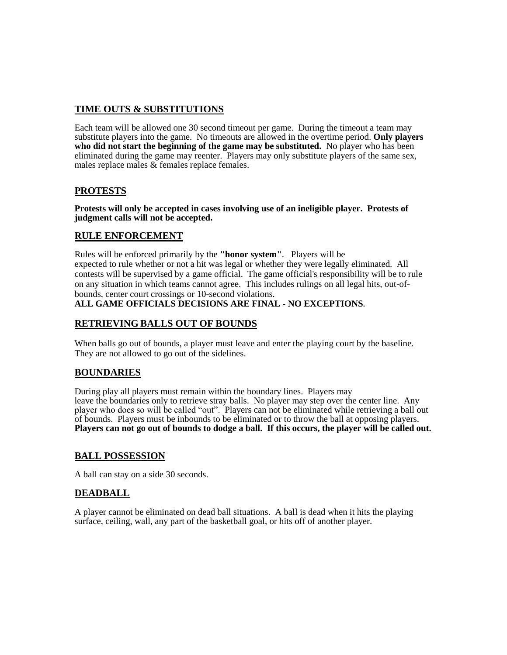## **TIME OUTS & SUBSTITUTIONS**

Each team will be allowed one 30 second timeout per game. During the timeout a team may substitute players into the game. No timeouts are allowed in the overtime period. **Only players who did not start the beginning of the game may be substituted.** No player who has been eliminated during the game may reenter. Players may only substitute players of the same sex, males replace males & females replace females.

## **PROTESTS**

**Protests will only be accepted in cases involving use of an ineligible player. Protests of judgment calls will not be accepted.** 

## **RULE ENFORCEMENT**

Rules will be enforced primarily by the **"honor system"**. Players will be expected to rule whether or not a hit was legal or whether they were legally eliminated. All contests will be supervised by a game official. The game official's responsibility will be to rule on any situation in which teams cannot agree. This includes rulings on all legal hits, out-ofbounds, center court crossings or 10-second violations.

# **ALL GAME OFFICIALS DECISIONS ARE FINAL - NO EXCEPTIONS.**

### **RETRIEVING BALLS OUT OF BOUNDS**

When balls go out of bounds, a player must leave and enter the playing court by the baseline. They are not allowed to go out of the sidelines.

### **BOUNDARIES**

During play all players must remain within the boundary lines. Players may leave the boundaries only to retrieve stray balls. No player may step over the center line. Any player who does so will be called "out". Players can not be eliminated while retrieving a ball out of bounds. Players must be inbounds to be eliminated or to throw the ball at opposing players. **Players can not go out of bounds to dodge a ball. If this occurs, the player will be called out.**

### **BALL POSSESSION**

A ball can stay on a side 30 seconds.

### **DEADBALL**

A player cannot be eliminated on dead ball situations. A ball is dead when it hits the playing surface, ceiling, wall, any part of the basketball goal, or hits off of another player.